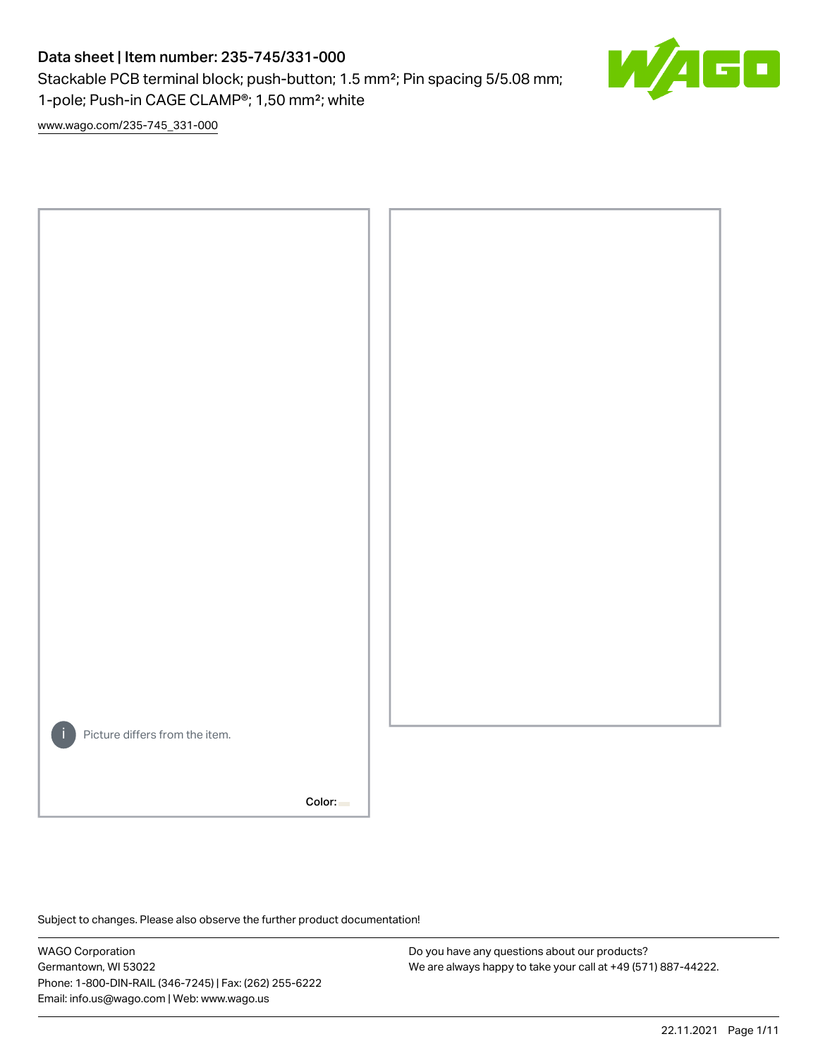# Data sheet | Item number: 235-745/331-000

Stackable PCB terminal block; push-button; 1.5 mm²; Pin spacing 5/5.08 mm; 1-pole; Push-in CAGE CLAMP®; 1,50 mm²; white



[www.wago.com/235-745\\_331-000](http://www.wago.com/235-745_331-000)



Subject to changes. Please also observe the further product documentation!

WAGO Corporation Germantown, WI 53022 Phone: 1-800-DIN-RAIL (346-7245) | Fax: (262) 255-6222 Email: info.us@wago.com | Web: www.wago.us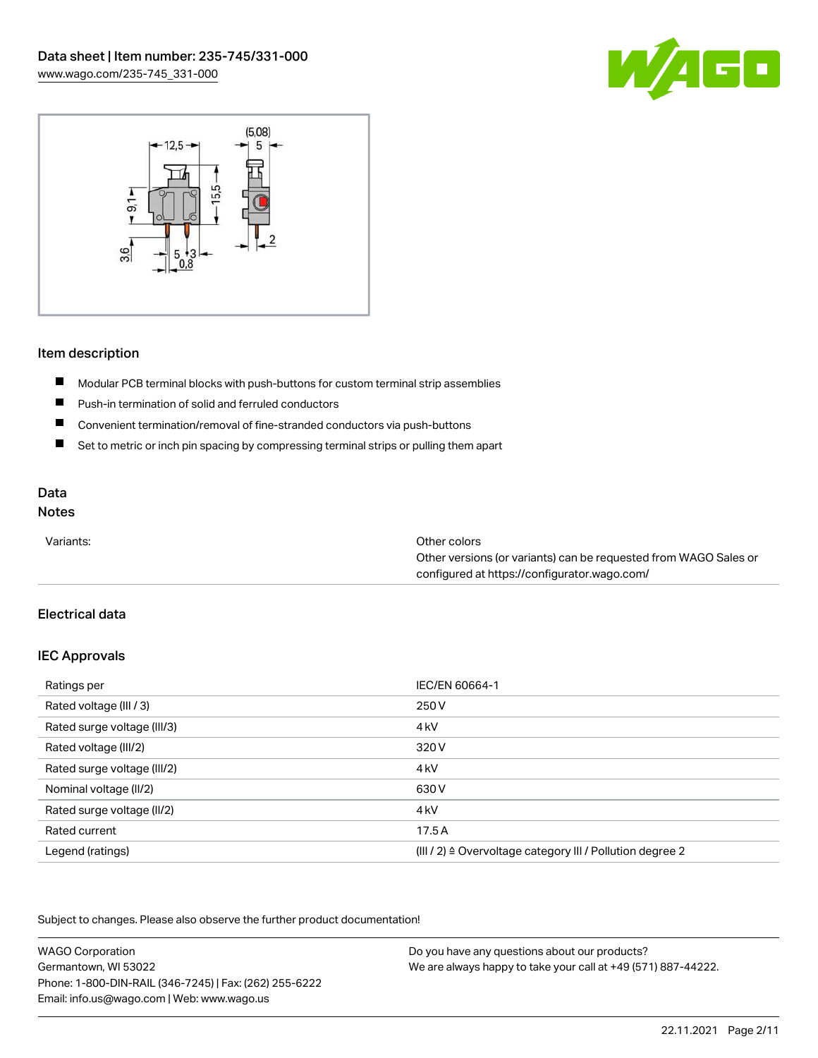



#### Item description

- $\blacksquare$ Modular PCB terminal blocks with push-buttons for custom terminal strip assemblies
- $\blacksquare$ Push-in termination of solid and ferruled conductors
- $\blacksquare$ Convenient termination/removal of fine-stranded conductors via push-buttons
- $\blacksquare$ Set to metric or inch pin spacing by compressing terminal strips or pulling them apart

# Data

## Notes

| Variants: | Other colors                                                     |
|-----------|------------------------------------------------------------------|
|           | Other versions (or variants) can be requested from WAGO Sales or |
|           | configured at https://configurator.wago.com/                     |

## Electrical data

#### IEC Approvals

| Ratings per                 | IEC/EN 60664-1                                                        |
|-----------------------------|-----------------------------------------------------------------------|
| Rated voltage (III / 3)     | 250 V                                                                 |
| Rated surge voltage (III/3) | 4 <sub>k</sub> V                                                      |
| Rated voltage (III/2)       | 320 V                                                                 |
| Rated surge voltage (III/2) | 4 <sub>k</sub> V                                                      |
| Nominal voltage (II/2)      | 630 V                                                                 |
| Rated surge voltage (II/2)  | 4 <sub>k</sub> V                                                      |
| Rated current               | 17.5A                                                                 |
| Legend (ratings)            | $(III / 2)$ $\triangle$ Overvoltage category III / Pollution degree 2 |

| <b>WAGO Corporation</b>                                | Do you have any questions about our products?                 |
|--------------------------------------------------------|---------------------------------------------------------------|
| Germantown, WI 53022                                   | We are always happy to take your call at +49 (571) 887-44222. |
| Phone: 1-800-DIN-RAIL (346-7245)   Fax: (262) 255-6222 |                                                               |
| Email: info.us@wago.com   Web: www.wago.us             |                                                               |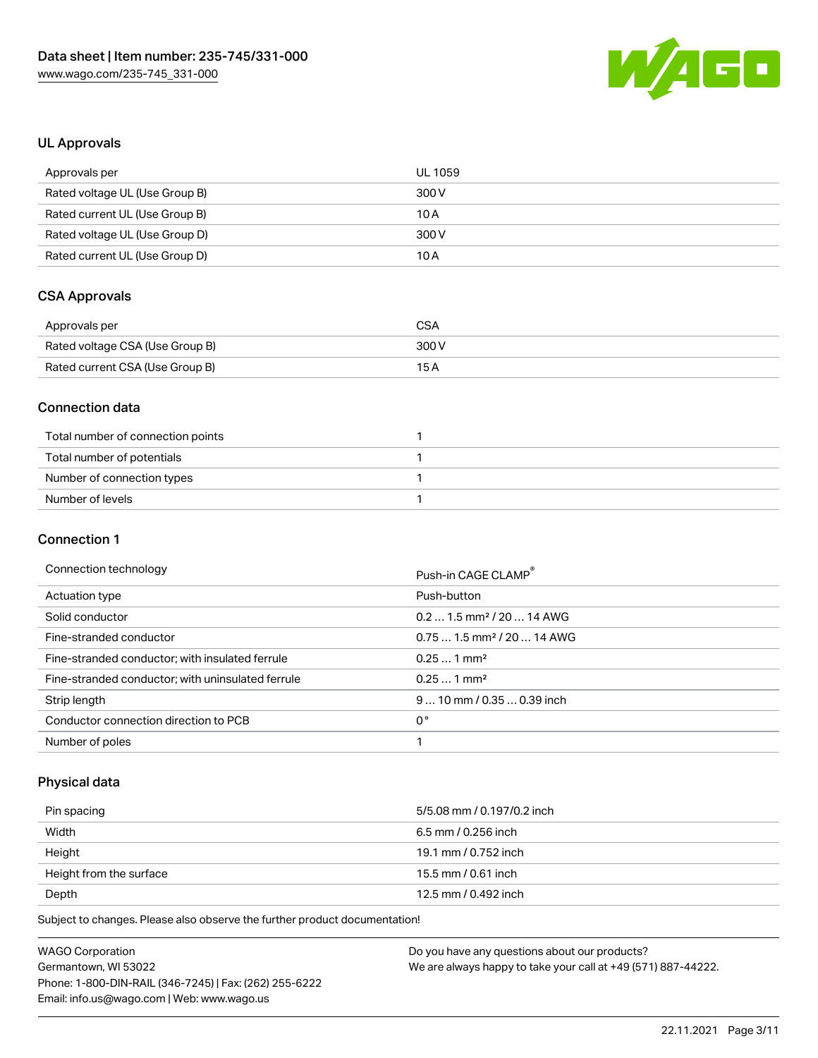

#### UL Approvals

| Approvals per                  | UL 1059 |
|--------------------------------|---------|
| Rated voltage UL (Use Group B) | 300 V   |
| Rated current UL (Use Group B) | 10 A    |
| Rated voltage UL (Use Group D) | 300 V   |
| Rated current UL (Use Group D) | 10 A    |

# CSA Approvals

| Approvals per                   | CSA   |
|---------------------------------|-------|
| Rated voltage CSA (Use Group B) | 300 V |
| Rated current CSA (Use Group B) | 15 A  |

#### Connection data

| Total number of connection points |  |
|-----------------------------------|--|
| Total number of potentials        |  |
| Number of connection types        |  |
| Number of levels                  |  |

#### Connection 1

#### Connection technology example and the connection of the connection of the connection of the connection of the connection of the connection of the connection of the connection of the connection of the connection of the conn

|                                                   | FUSI FIIT UAUE ULAIVIF                 |
|---------------------------------------------------|----------------------------------------|
| Actuation type                                    | Push-button                            |
| Solid conductor                                   | $0.21.5$ mm <sup>2</sup> / 20  14 AWG  |
| Fine-stranded conductor                           | $0.751.5$ mm <sup>2</sup> / 20  14 AWG |
| Fine-stranded conductor; with insulated ferrule   | $0.251$ mm <sup>2</sup>                |
| Fine-stranded conductor; with uninsulated ferrule | $0.251$ mm <sup>2</sup>                |
| Strip length                                      | $910$ mm / 0.35  0.39 inch             |
| Conductor connection direction to PCB             | 0°                                     |
| Number of poles                                   |                                        |
|                                                   |                                        |

## Physical data

| Pin spacing             | 5/5.08 mm / 0.197/0.2 inch |
|-------------------------|----------------------------|
| Width                   | 6.5 mm / 0.256 inch        |
| Height                  | 19.1 mm / 0.752 inch       |
| Height from the surface | 15.5 mm / 0.61 inch        |
| Depth                   | 12.5 mm / 0.492 inch       |

| <b>WAGO Corporation</b>                                | Do you have any questions about our products?                 |
|--------------------------------------------------------|---------------------------------------------------------------|
| Germantown, WI 53022                                   | We are always happy to take your call at +49 (571) 887-44222. |
| Phone: 1-800-DIN-RAIL (346-7245)   Fax: (262) 255-6222 |                                                               |
| Email: info.us@wago.com   Web: www.wago.us             |                                                               |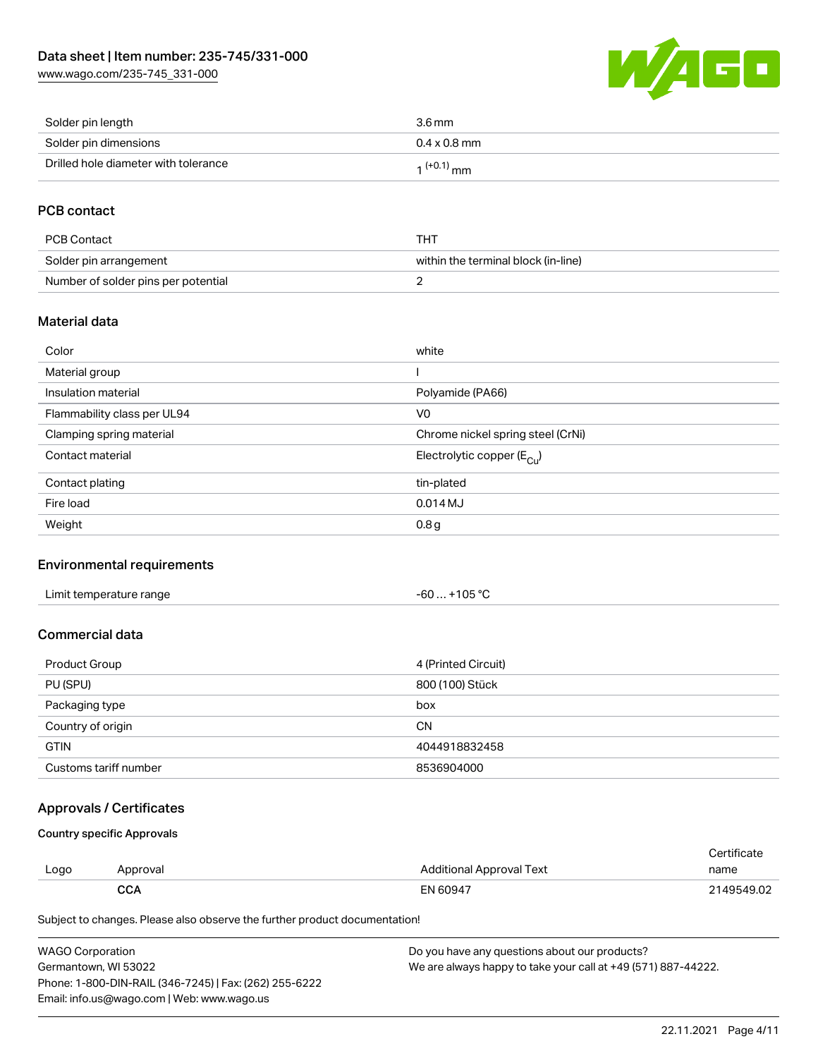[www.wago.com/235-745\\_331-000](http://www.wago.com/235-745_331-000)



| Solder pin length                    | 3.6 mm              |
|--------------------------------------|---------------------|
| Solder pin dimensions                | $0.4 \times 0.8$ mm |
| Drilled hole diameter with tolerance | $1^{(+0.1)}$ mm     |

## PCB contact

| PCB Contact                         | THT                                 |
|-------------------------------------|-------------------------------------|
| Solder pin arrangement              | within the terminal block (in-line) |
| Number of solder pins per potential |                                     |

#### Material data

| Color                       | white                                   |
|-----------------------------|-----------------------------------------|
| Material group              |                                         |
| Insulation material         | Polyamide (PA66)                        |
| Flammability class per UL94 | V <sub>0</sub>                          |
| Clamping spring material    | Chrome nickel spring steel (CrNi)       |
| Contact material            | Electrolytic copper ( $E_{\text{Cu}}$ ) |
| Contact plating             | tin-plated                              |
| Fire load                   | $0.014$ MJ                              |
| Weight                      | 0.8 <sub>g</sub>                        |

#### Environmental requirements

#### Commercial data

| Product Group         | 4 (Printed Circuit) |
|-----------------------|---------------------|
| PU (SPU)              | 800 (100) Stück     |
| Packaging type        | box                 |
| Country of origin     | <b>CN</b>           |
| <b>GTIN</b>           | 4044918832458       |
| Customs tariff number | 8536904000          |

## Approvals / Certificates

Country specific Approvals

| Logo | Approval | Additional Approval Text | Certificate<br>name |
|------|----------|--------------------------|---------------------|
|      | CCA      | EN 60947                 | 2149549.02          |

| <b>WAGO Corporation</b>                                | Do you have any questions about our products?                 |  |
|--------------------------------------------------------|---------------------------------------------------------------|--|
| Germantown, WI 53022                                   | We are always happy to take your call at +49 (571) 887-44222. |  |
| Phone: 1-800-DIN-RAIL (346-7245)   Fax: (262) 255-6222 |                                                               |  |
| Email: info.us@wago.com   Web: www.wago.us             |                                                               |  |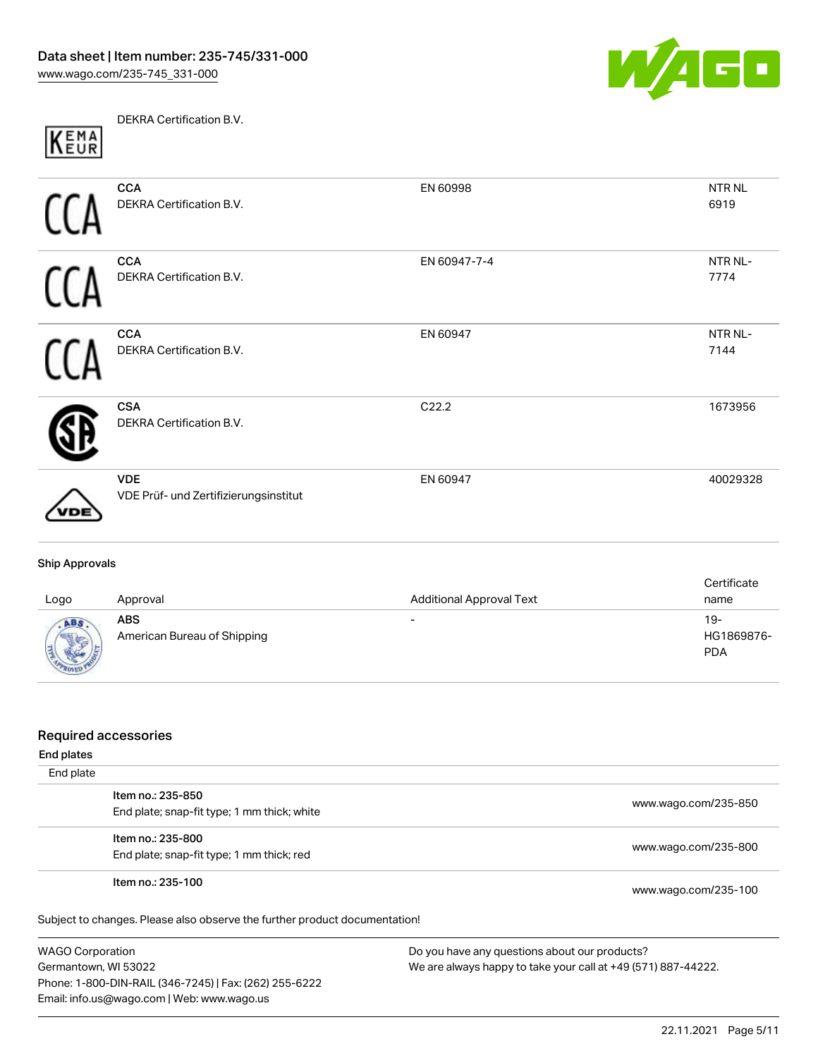

DEKRA Certification B.V. KEMA

| <b>CCA</b><br>DEKRA Certification B.V.              | EN 60998     | NTR <sub>NL</sub><br>6919 |
|-----------------------------------------------------|--------------|---------------------------|
| <b>CCA</b><br>DEKRA Certification B.V.              | EN 60947-7-4 | NTR NL-<br>7774           |
| <b>CCA</b><br>DEKRA Certification B.V.              | EN 60947     | NTR NL-<br>7144           |
| <b>CSA</b><br>DEKRA Certification B.V.              | C22.2        | 1673956                   |
| <b>VDE</b><br>VDE Prüf- und Zertifizierungsinstitut | EN 60947     | 40029328                  |

#### Ship Approvals

| Logo | Approval                                  | <b>Additional Approval Text</b> | Certificate<br>name               |
|------|-------------------------------------------|---------------------------------|-----------------------------------|
|      | <b>ABS</b><br>American Bureau of Shipping | $\overline{\phantom{0}}$        | $19-$<br>HG1869876-<br><b>PDA</b> |

#### Required accessories

| End plates |                                                                            |                      |
|------------|----------------------------------------------------------------------------|----------------------|
| End plate  |                                                                            |                      |
|            | Item no.: 235-850                                                          |                      |
|            | End plate; snap-fit type; 1 mm thick; white                                | www.wago.com/235-850 |
|            | Item no.: 235-800                                                          |                      |
|            | End plate; snap-fit type; 1 mm thick; red                                  | www.wago.com/235-800 |
|            | Item no.: 235-100                                                          | www.wago.com/235-100 |
|            | Subject to changes. Please also observe the further product documentation! |                      |

WAGO Corporation Germantown, WI 53022 Phone: 1-800-DIN-RAIL (346-7245) | Fax: (262) 255-6222 Email: info.us@wago.com | Web: www.wago.us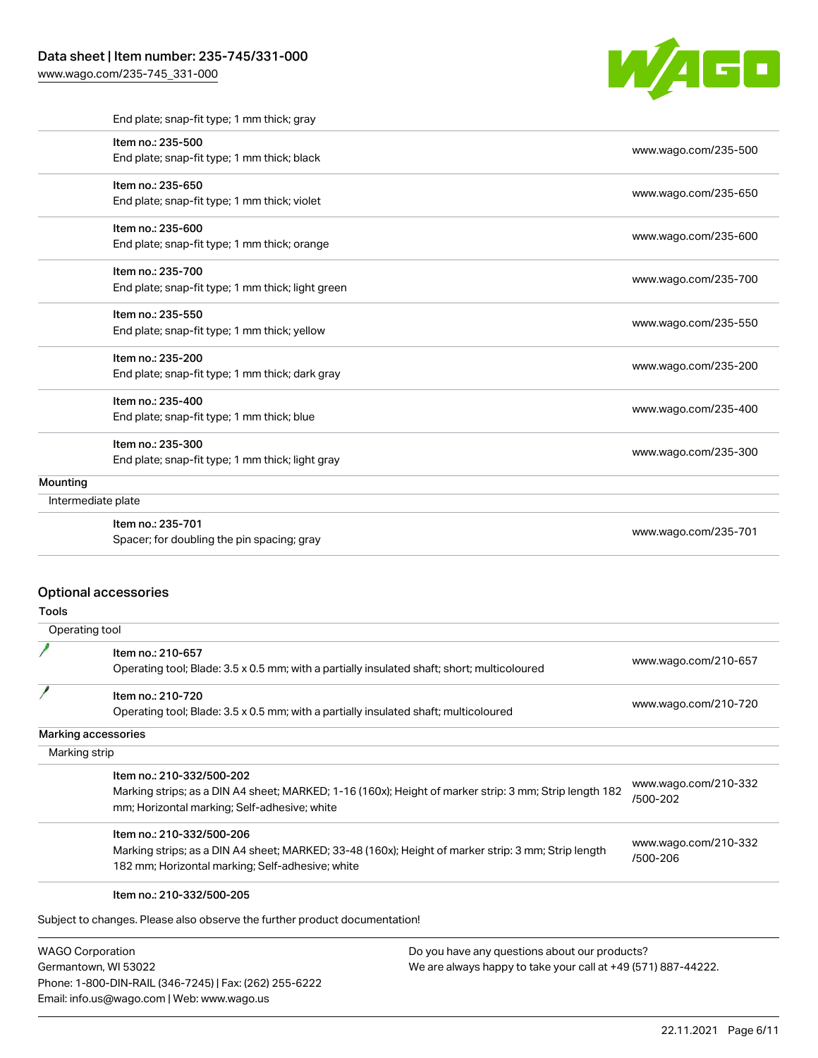#### Data sheet | Item number: 235-745/331-000

[www.wago.com/235-745\\_331-000](http://www.wago.com/235-745_331-000)



|          | End plate; snap-fit type; 1 mm thick; gray        |                      |
|----------|---------------------------------------------------|----------------------|
|          | Item no.: 235-500                                 |                      |
|          | End plate; snap-fit type; 1 mm thick; black       | www.wago.com/235-500 |
|          | Item no.: 235-650                                 |                      |
|          | End plate; snap-fit type; 1 mm thick; violet      | www.wago.com/235-650 |
|          | Item no.: 235-600                                 |                      |
|          | End plate; snap-fit type; 1 mm thick; orange      | www.wago.com/235-600 |
|          | Item no.: 235-700                                 |                      |
|          | End plate; snap-fit type; 1 mm thick; light green | www.wago.com/235-700 |
|          | Item no.: 235-550                                 |                      |
|          | End plate; snap-fit type; 1 mm thick; yellow      | www.wago.com/235-550 |
|          | Item no.: 235-200                                 |                      |
|          | End plate; snap-fit type; 1 mm thick; dark gray   | www.wago.com/235-200 |
|          | Item no.: 235-400                                 |                      |
|          | End plate; snap-fit type; 1 mm thick; blue        | www.wago.com/235-400 |
|          | Item no.: 235-300                                 |                      |
|          | End plate; snap-fit type; 1 mm thick; light gray  | www.wago.com/235-300 |
| Mounting |                                                   |                      |
|          | Intermediate plate                                |                      |
|          | Item no.: 235-701                                 | www.wago.com/235-701 |
|          | Spacer; for doubling the pin spacing; gray        |                      |

#### Optional accessories

Tools

| Operating tool |                                                                                                                                                                          |                      |
|----------------|--------------------------------------------------------------------------------------------------------------------------------------------------------------------------|----------------------|
|                | Item no.: 210-657<br>Operating tool; Blade: 3.5 x 0.5 mm; with a partially insulated shaft; short; multicoloured                                                         | www.wago.com/210-657 |
|                | Item no.: 210-720<br>Operating tool; Blade: 3.5 x 0.5 mm; with a partially insulated shaft; multicoloured                                                                | www.wago.com/210-720 |
|                | Marking accessories                                                                                                                                                      |                      |
|                | Marking strip                                                                                                                                                            |                      |
|                | Item no.: 210-332/500-202<br>$\mathbf{M}$ is a pulse in $\mathbf{M}$ pulse in $\mathbf{M}$ and $\mathbf{M}$ and $\mathbf{M}$ and $\mathbf{M}$ is a pulse in $\mathbf{M}$ | www.wago.com/210-332 |

Marking strips; as a DIN A4 sheet; MARKED; 1-16 (160x); Height of marker strip: 3 mm; Strip length 182 mm; Horizontal marking; Self-adhesive; white [/500-202](http://www.wago.com/210-332/500-202) Item no.: 210-332/500-206 Marking strips; as a DIN A4 sheet; MARKED; 33-48 (160x); Height of marker strip: 3 mm; Strip length 182 mm; Horizontal marking; Self-adhesive; white [www.wago.com/210-332](http://www.wago.com/210-332/500-206) [/500-206](http://www.wago.com/210-332/500-206)

#### Item no.: 210-332/500-205

Subject to changes. Please also observe the further product documentation!

WAGO Corporation Germantown, WI 53022 Phone: 1-800-DIN-RAIL (346-7245) | Fax: (262) 255-6222 Email: info.us@wago.com | Web: www.wago.us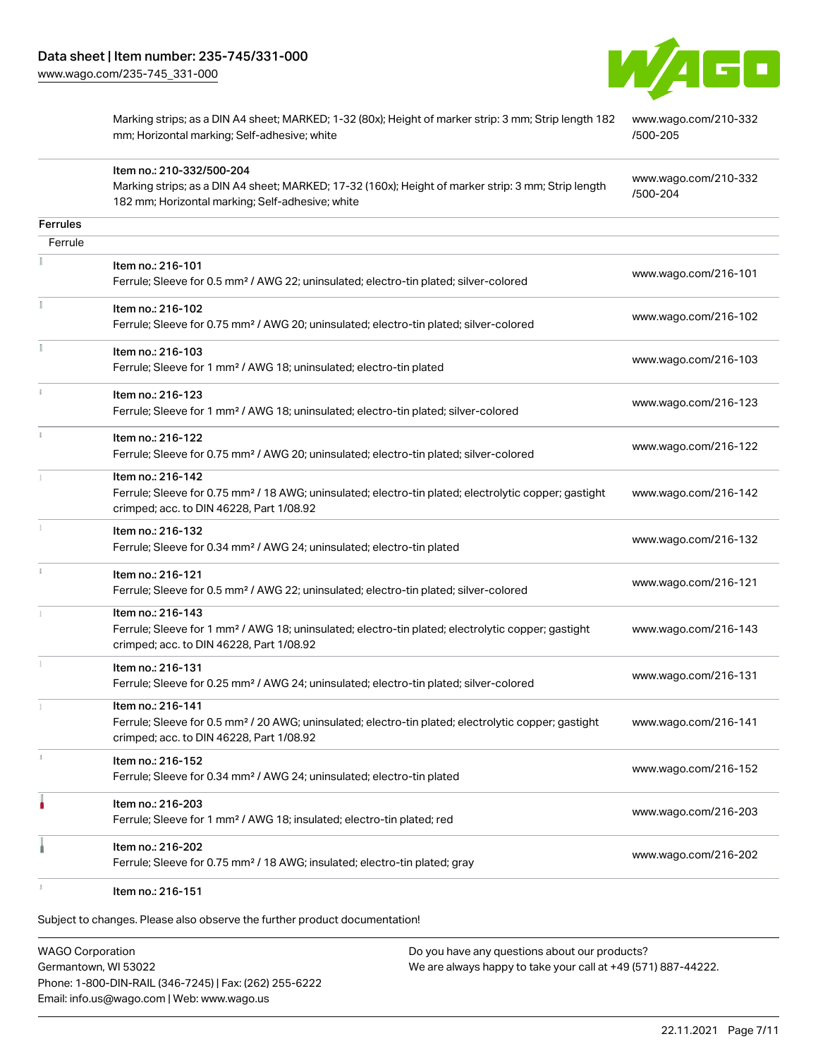Item no.: 210-332/500-204

182 mm; Horizontal marking; Self-adhesive; white



Marking strips; as a DIN A4 sheet; MARKED; 1-32 (80x); Height of marker strip: 3 mm; Strip length 182 mm; Horizontal marking; Self-adhesive; white

Marking strips; as a DIN A4 sheet; MARKED; 17-32 (160x); Height of marker strip: 3 mm; Strip length

[www.wago.com/210-332](http://www.wago.com/210-332/500-205) [/500-205](http://www.wago.com/210-332/500-205)

[www.wago.com/210-332](http://www.wago.com/210-332/500-204) [/500-204](http://www.wago.com/210-332/500-204)

| <b>Ferrules</b> |                                                                                                                                                                                    |                      |
|-----------------|------------------------------------------------------------------------------------------------------------------------------------------------------------------------------------|----------------------|
| Ferrule         |                                                                                                                                                                                    |                      |
|                 | Item no.: 216-101<br>Ferrule; Sleeve for 0.5 mm <sup>2</sup> / AWG 22; uninsulated; electro-tin plated; silver-colored                                                             | www.wago.com/216-101 |
|                 | Item no.: 216-102<br>Ferrule; Sleeve for 0.75 mm <sup>2</sup> / AWG 20; uninsulated; electro-tin plated; silver-colored                                                            | www.wago.com/216-102 |
| $\frac{1}{2}$   | Item no.: 216-103<br>Ferrule; Sleeve for 1 mm <sup>2</sup> / AWG 18; uninsulated; electro-tin plated                                                                               | www.wago.com/216-103 |
|                 | Item no.: 216-123<br>Ferrule; Sleeve for 1 mm <sup>2</sup> / AWG 18; uninsulated; electro-tin plated; silver-colored                                                               | www.wago.com/216-123 |
|                 | Item no.: 216-122<br>Ferrule; Sleeve for 0.75 mm <sup>2</sup> / AWG 20; uninsulated; electro-tin plated; silver-colored                                                            | www.wago.com/216-122 |
|                 | Item no.: 216-142<br>Ferrule; Sleeve for 0.75 mm <sup>2</sup> / 18 AWG; uninsulated; electro-tin plated; electrolytic copper; gastight<br>crimped; acc. to DIN 46228, Part 1/08.92 | www.wago.com/216-142 |
|                 | Item no.: 216-132<br>Ferrule; Sleeve for 0.34 mm <sup>2</sup> / AWG 24; uninsulated; electro-tin plated                                                                            | www.wago.com/216-132 |
|                 | Item no.: 216-121<br>Ferrule; Sleeve for 0.5 mm <sup>2</sup> / AWG 22; uninsulated; electro-tin plated; silver-colored                                                             | www.wago.com/216-121 |
|                 | Item no.: 216-143<br>Ferrule; Sleeve for 1 mm <sup>2</sup> / AWG 18; uninsulated; electro-tin plated; electrolytic copper; gastight<br>crimped; acc. to DIN 46228, Part 1/08.92    | www.wago.com/216-143 |
|                 | Item no.: 216-131<br>Ferrule; Sleeve for 0.25 mm <sup>2</sup> / AWG 24; uninsulated; electro-tin plated; silver-colored                                                            | www.wago.com/216-131 |
|                 | Item no.: 216-141<br>Ferrule; Sleeve for 0.5 mm <sup>2</sup> / 20 AWG; uninsulated; electro-tin plated; electrolytic copper; gastight<br>crimped; acc. to DIN 46228, Part 1/08.92  | www.wago.com/216-141 |
| 1               | Item no.: 216-152<br>Ferrule; Sleeve for 0.34 mm <sup>2</sup> / AWG 24; uninsulated; electro-tin plated                                                                            | www.wago.com/216-152 |
|                 | Item no.: 216-203<br>Ferrule; Sleeve for 1 mm <sup>2</sup> / AWG 18; insulated; electro-tin plated; red                                                                            | www.wago.com/216-203 |
|                 | Item no.: 216-202<br>Ferrule; Sleeve for 0.75 mm <sup>2</sup> / 18 AWG; insulated; electro-tin plated; gray                                                                        | www.wago.com/216-202 |
|                 |                                                                                                                                                                                    |                      |

Item no.: 216-151

Subject to changes. Please also observe the further product documentation!

WAGO Corporation Germantown, WI 53022 Phone: 1-800-DIN-RAIL (346-7245) | Fax: (262) 255-6222 Email: info.us@wago.com | Web: www.wago.us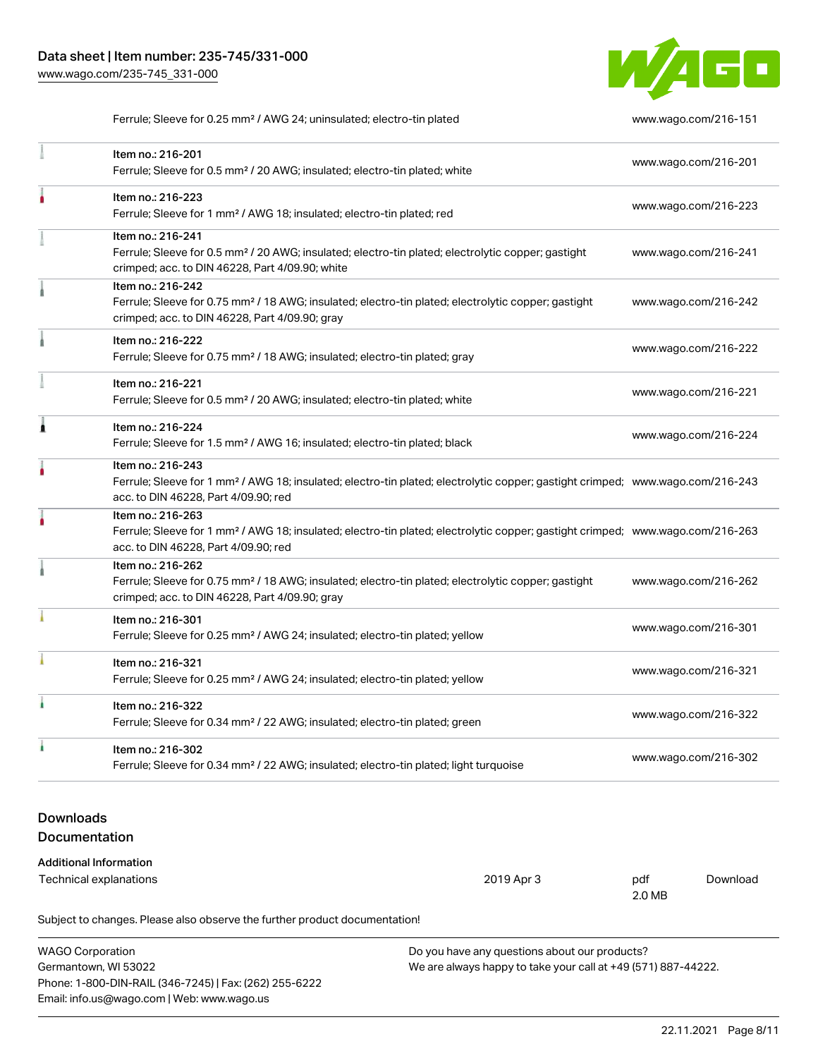

Ferrule; Sleeve for 0.25 mm<sup>2</sup> / AWG 24; uninsulated; electro-tin plated [www.wago.com/216-151](http://www.wago.com/216-151)

|                                   | Item no.: 216-201<br>Ferrule; Sleeve for 0.5 mm <sup>2</sup> / 20 AWG; insulated; electro-tin plated; white                                                                                             | www.wago.com/216-201      |  |
|-----------------------------------|---------------------------------------------------------------------------------------------------------------------------------------------------------------------------------------------------------|---------------------------|--|
|                                   | Item no.: 216-223<br>Ferrule; Sleeve for 1 mm <sup>2</sup> / AWG 18; insulated; electro-tin plated; red                                                                                                 | www.wago.com/216-223      |  |
|                                   | Item no.: 216-241<br>Ferrule; Sleeve for 0.5 mm <sup>2</sup> / 20 AWG; insulated; electro-tin plated; electrolytic copper; gastight<br>crimped; acc. to DIN 46228, Part 4/09.90; white                  | www.wago.com/216-241      |  |
|                                   | Item no.: 216-242<br>Ferrule; Sleeve for 0.75 mm <sup>2</sup> / 18 AWG; insulated; electro-tin plated; electrolytic copper; gastight<br>crimped; acc. to DIN 46228, Part 4/09.90; gray                  | www.wago.com/216-242      |  |
|                                   | Item no.: 216-222<br>Ferrule; Sleeve for 0.75 mm <sup>2</sup> / 18 AWG; insulated; electro-tin plated; gray                                                                                             | www.wago.com/216-222      |  |
|                                   | Item no.: 216-221<br>Ferrule; Sleeve for 0.5 mm <sup>2</sup> / 20 AWG; insulated; electro-tin plated; white                                                                                             | www.wago.com/216-221      |  |
| 1                                 | Item no.: 216-224<br>Ferrule; Sleeve for 1.5 mm <sup>2</sup> / AWG 16; insulated; electro-tin plated; black                                                                                             | www.wago.com/216-224      |  |
| ۸                                 | Item no.: 216-243<br>Ferrule; Sleeve for 1 mm <sup>2</sup> / AWG 18; insulated; electro-tin plated; electrolytic copper; gastight crimped; www.wago.com/216-243<br>acc. to DIN 46228, Part 4/09.90; red |                           |  |
|                                   | Item no.: 216-263<br>Ferrule; Sleeve for 1 mm <sup>2</sup> / AWG 18; insulated; electro-tin plated; electrolytic copper; gastight crimped; www.wago.com/216-263<br>acc. to DIN 46228, Part 4/09.90; red |                           |  |
|                                   | Item no.: 216-262<br>Ferrule; Sleeve for 0.75 mm <sup>2</sup> / 18 AWG; insulated; electro-tin plated; electrolytic copper; gastight<br>crimped; acc. to DIN 46228, Part 4/09.90; gray                  | www.wago.com/216-262      |  |
|                                   | Item no.: 216-301<br>Ferrule; Sleeve for 0.25 mm <sup>2</sup> / AWG 24; insulated; electro-tin plated; yellow                                                                                           | www.wago.com/216-301      |  |
|                                   | Item no.: 216-321<br>Ferrule; Sleeve for 0.25 mm <sup>2</sup> / AWG 24; insulated; electro-tin plated; yellow                                                                                           | www.wago.com/216-321      |  |
|                                   | Item no.: 216-322<br>Ferrule; Sleeve for 0.34 mm <sup>2</sup> / 22 AWG; insulated; electro-tin plated; green                                                                                            | www.wago.com/216-322      |  |
| ٠                                 | Item no.: 216-302<br>Ferrule; Sleeve for 0.34 mm <sup>2</sup> / 22 AWG; insulated; electro-tin plated; light turquoise                                                                                  | www.wago.com/216-302      |  |
| <b>Downloads</b><br>Documentation |                                                                                                                                                                                                         |                           |  |
| <b>Additional Information</b>     | 2019 Apr 3<br>Technical explanations                                                                                                                                                                    | pdf<br>Download<br>2.0 MB |  |

| <b>WAGO Corporation</b>                                | Do you have any questions about our products?                 |
|--------------------------------------------------------|---------------------------------------------------------------|
| Germantown, WI 53022                                   | We are always happy to take your call at +49 (571) 887-44222. |
| Phone: 1-800-DIN-RAIL (346-7245)   Fax: (262) 255-6222 |                                                               |
| Email: info.us@wago.com   Web: www.wago.us             |                                                               |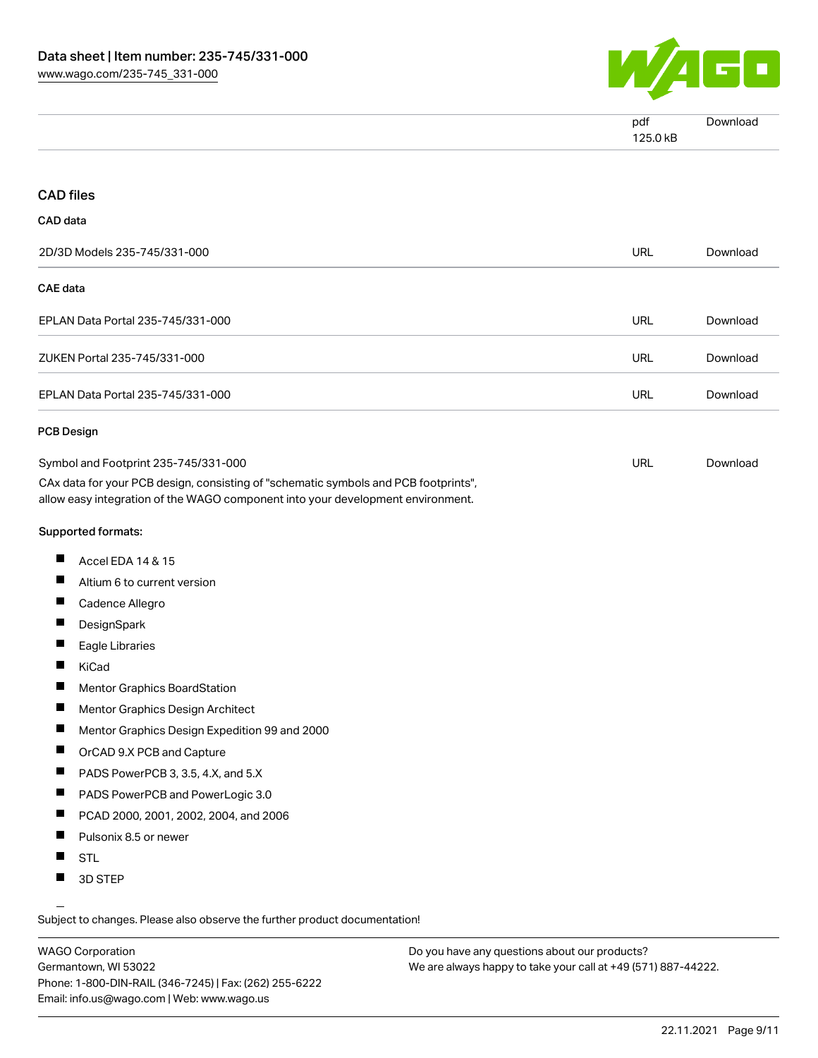

| $\sim$<br>pdf | ∿ni∩. |
|---------------|-------|
| 25.25<br>'ND  |       |

#### CAD files

#### CAD data

| 2D/3D Models 235-745/331-000      | URL | Download |
|-----------------------------------|-----|----------|
| CAE data                          |     |          |
| EPLAN Data Portal 235-745/331-000 | URL | Download |
| ZUKEN Portal 235-745/331-000      | URL | Download |
| EPLAN Data Portal 235-745/331-000 | URL | Download |
| PCB Design                        |     |          |

| Symbol and Footprint 235-745/331-000                                                | URL | Download |
|-------------------------------------------------------------------------------------|-----|----------|
| CAx data for your PCB design, consisting of "schematic symbols and PCB footprints", |     |          |
| allow easy integration of the WAGO component into your development environment.     |     |          |

#### Supported formats:

- $\blacksquare$ Accel EDA 14 & 15
- $\blacksquare$ Altium 6 to current version
- Cadence Allegro П
- **DesignSpark** П
- П Eagle Libraries
- $\blacksquare$ KiCad
- $\blacksquare$ Mentor Graphics BoardStation
- П Mentor Graphics Design Architect
- П Mentor Graphics Design Expedition 99 and 2000
- $\blacksquare$ OrCAD 9.X PCB and Capture
- $\blacksquare$ PADS PowerPCB 3, 3.5, 4.X, and 5.X
- $\blacksquare$ PADS PowerPCB and PowerLogic 3.0
- $\blacksquare$ PCAD 2000, 2001, 2002, 2004, and 2006
- $\blacksquare$ Pulsonix 8.5 or newer
- $\blacksquare$ STL
- $\blacksquare$ 3D STEP

Subject to changes. Please also observe the further product documentation!

WAGO Corporation Germantown, WI 53022 Phone: 1-800-DIN-RAIL (346-7245) | Fax: (262) 255-6222 Email: info.us@wago.com | Web: www.wago.us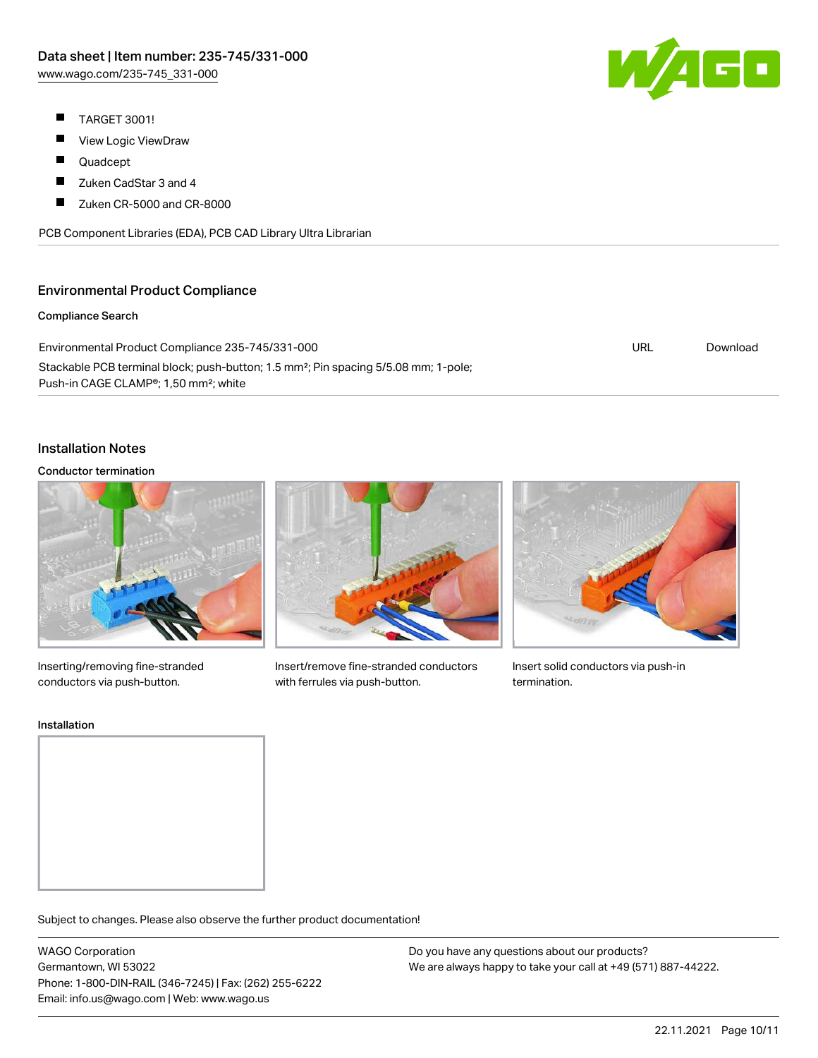- $\blacksquare$ TARGET 3001!
- $\blacksquare$ View Logic ViewDraw
- $\blacksquare$ Quadcept
- $\blacksquare$ Zuken CadStar 3 and 4
- П Zuken CR-5000 and CR-8000

PCB Component Libraries (EDA), PCB CAD Library Ultra Librarian

## Environmental Product Compliance

#### Compliance Search

| Environmental Product Compliance 235-745/331-000                                                | URL | Download |
|-------------------------------------------------------------------------------------------------|-----|----------|
| Stackable PCB terminal block; push-button; 1.5 mm <sup>2</sup> ; Pin spacing 5/5.08 mm; 1-pole; |     |          |
| Push-in CAGE CLAMP <sup>®</sup> ; 1,50 mm <sup>2</sup> ; white                                  |     |          |

#### Installation Notes

#### Conductor termination



Inserting/removing fine-stranded conductors via push-button.



Insert/remove fine-stranded conductors with ferrules via push-button.



Insert solid conductors via push-in termination.

#### Installation

Subject to changes. Please also observe the further product documentation!

WAGO Corporation Germantown, WI 53022 Phone: 1-800-DIN-RAIL (346-7245) | Fax: (262) 255-6222 Email: info.us@wago.com | Web: www.wago.us